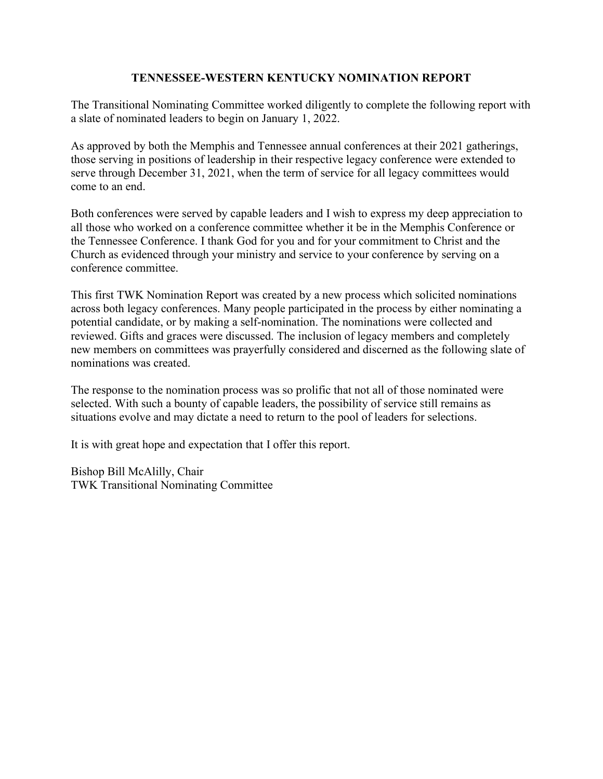# **TENNESSEE-WESTERN KENTUCKY NOMINATION REPORT**

The Transitional Nominating Committee worked diligently to complete the following report with a slate of nominated leaders to begin on January 1, 2022.

As approved by both the Memphis and Tennessee annual conferences at their 2021 gatherings, those serving in positions of leadership in their respective legacy conference were extended to serve through December 31, 2021, when the term of service for all legacy committees would come to an end.

Both conferences were served by capable leaders and I wish to express my deep appreciation to all those who worked on a conference committee whether it be in the Memphis Conference or the Tennessee Conference. I thank God for you and for your commitment to Christ and the Church as evidenced through your ministry and service to your conference by serving on a conference committee.

This first TWK Nomination Report was created by a new process which solicited nominations across both legacy conferences. Many people participated in the process by either nominating a potential candidate, or by making a self-nomination. The nominations were collected and reviewed. Gifts and graces were discussed. The inclusion of legacy members and completely new members on committees was prayerfully considered and discerned as the following slate of nominations was created.

The response to the nomination process was so prolific that not all of those nominated were selected. With such a bounty of capable leaders, the possibility of service still remains as situations evolve and may dictate a need to return to the pool of leaders for selections.

It is with great hope and expectation that I offer this report.

Bishop Bill McAlilly, Chair TWK Transitional Nominating Committee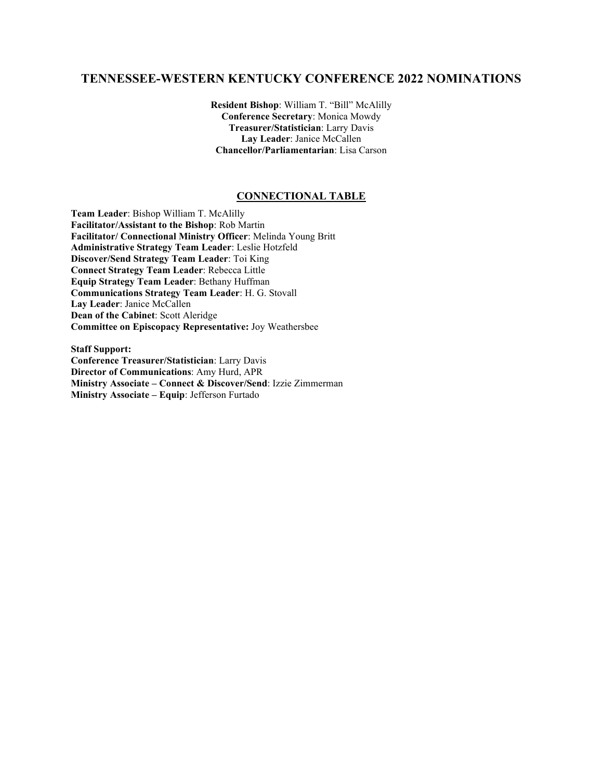# **TENNESSEE-WESTERN KENTUCKY CONFERENCE 2022 NOMINATIONS**

**Resident Bishop**: William T. "Bill" McAlilly **Conference Secretary**: Monica Mowdy **Treasurer/Statistician**: Larry Davis **Lay Leader**: Janice McCallen **Chancellor/Parliamentarian**: Lisa Carson

## **CONNECTIONAL TABLE**

**Team Leader**: Bishop William T. McAlilly **Facilitator/Assistant to the Bishop**: Rob Martin **Facilitator/ Connectional Ministry Officer**: Melinda Young Britt **Administrative Strategy Team Leader**: Leslie Hotzfeld **Discover/Send Strategy Team Leader**: Toi King **Connect Strategy Team Leader**: Rebecca Little **Equip Strategy Team Leader**: Bethany Huffman **Communications Strategy Team Leader**: H. G. Stovall **Lay Leader**: Janice McCallen **Dean of the Cabinet**: Scott Aleridge **Committee on Episcopacy Representative:** Joy Weathersbee

**Staff Support: Conference Treasurer/Statistician**: Larry Davis **Director of Communications**: Amy Hurd, APR **Ministry Associate – Connect & Discover/Send**: Izzie Zimmerman **Ministry Associate – Equip**: Jefferson Furtado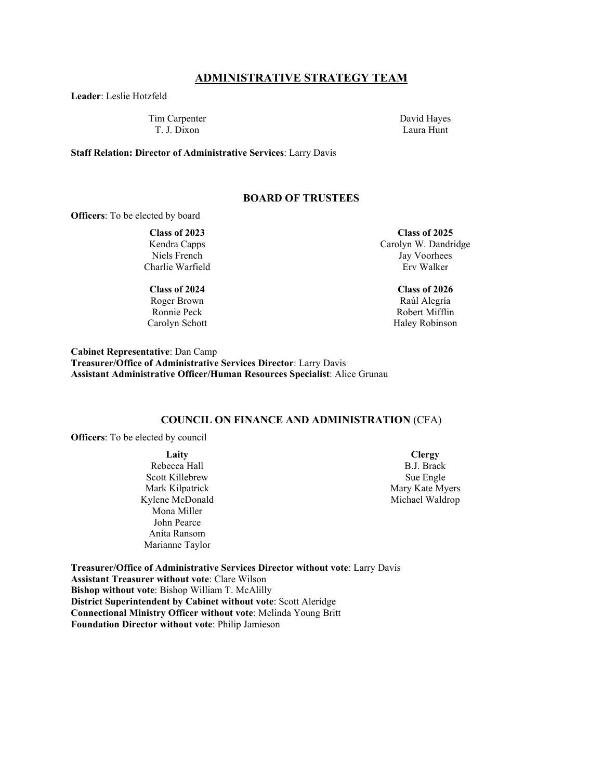### **ADMINISTRATIVE STRATEGY TEAM**

**Leader**: Leslie Hotzfeld

Tim Carpenter T. J. Dixon

David Hayes Laura Hunt

**Staff Relation: Director of Administrative Services**: Larry Davis

#### **BOARD OF TRUSTEES**

**Officers**: To be elected by board

#### **Class of 2023**

Kendra Capps Niels French Charlie Warfield

**Class of 2024** Roger Brown Ronnie Peck Carolyn Schott

**Class of 2025** Carolyn W. Dandridge Jay Voorhees Erv Walker

> **Class of 2026** Raúl Alegría Robert Mifflin Haley Robinson

**Cabinet Representative**: Dan Camp **Treasurer/Office of Administrative Services Director**: Larry Davis **Assistant Administrative Officer/Human Resources Specialist**: Alice Grunau

#### **COUNCIL ON FINANCE AND ADMINISTRATION** (CFA)

**Officers**: To be elected by council

**Laity** Rebecca Hall Scott Killebrew Mark Kilpatrick Kylene McDonald Mona Miller John Pearce Anita Ransom Marianne Taylor

**Clergy** B.J. Brack Sue Engle Mary Kate Myers Michael Waldrop

**Treasurer/Office of Administrative Services Director without vote**: Larry Davis **Assistant Treasurer without vote**: Clare Wilson **Bishop without vote**: Bishop William T. McAlilly **District Superintendent by Cabinet without vote**: Scott Aleridge **Connectional Ministry Officer without vote**: Melinda Young Britt **Foundation Director without vote**: Philip Jamieson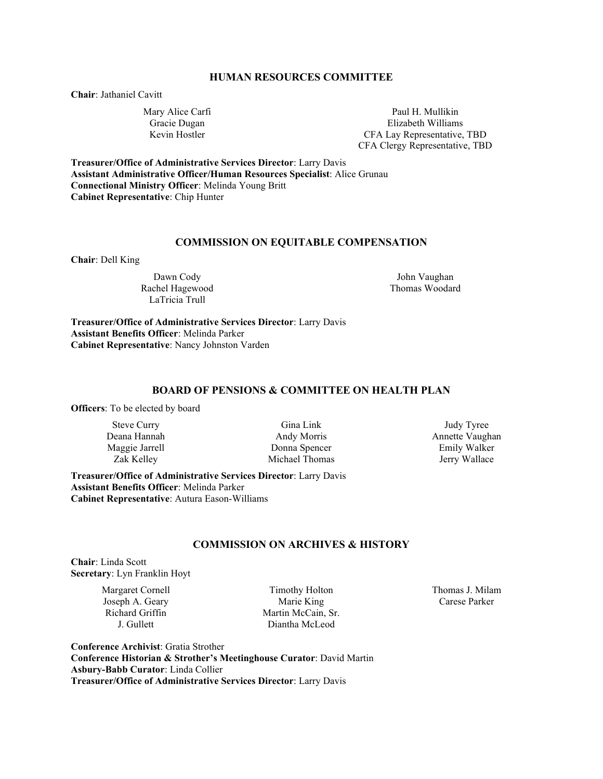## **HUMAN RESOURCES COMMITTEE**

**Chair**: Jathaniel Cavitt

Mary Alice Carfi Gracie Dugan Kevin Hostler

Paul H. Mullikin Elizabeth Williams CFA Lay Representative, TBD CFA Clergy Representative, TBD

**Treasurer/Office of Administrative Services Director**: Larry Davis **Assistant Administrative Officer/Human Resources Specialist**: Alice Grunau **Connectional Ministry Officer**: Melinda Young Britt **Cabinet Representative**: Chip Hunter

#### **COMMISSION ON EQUITABLE COMPENSATION**

**Chair**: Dell King

Dawn Cody Rachel Hagewood LaTricia Trull

John Vaughan Thomas Woodard

**Treasurer/Office of Administrative Services Director**: Larry Davis **Assistant Benefits Officer**: Melinda Parker **Cabinet Representative**: Nancy Johnston Varden

## **BOARD OF PENSIONS & COMMITTEE ON HEALTH PLAN**

**Officers**: To be elected by board

Steve Curry Deana Hannah Maggie Jarrell Zak Kelley

Gina Link Andy Morris Donna Spencer Michael Thomas

Judy Tyree Annette Vaughan Emily Walker Jerry Wallace

**Treasurer/Office of Administrative Services Director**: Larry Davis **Assistant Benefits Officer**: Melinda Parker **Cabinet Representative**: Autura Eason-Williams

#### **COMMISSION ON ARCHIVES & HISTORY**

**Chair**: Linda Scott **Secretary**: Lyn Franklin Hoyt

> Margaret Cornell Joseph A. Geary Richard Griffin J. Gullett

Timothy Holton Marie King Martin McCain, Sr. Diantha McLeod

Thomas J. Milam Carese Parker

**Conference Archivist**: Gratia Strother **Conference Historian & Strother's Meetinghouse Curator**: David Martin **Asbury-Babb Curator**: Linda Collier **Treasurer/Office of Administrative Services Director**: Larry Davis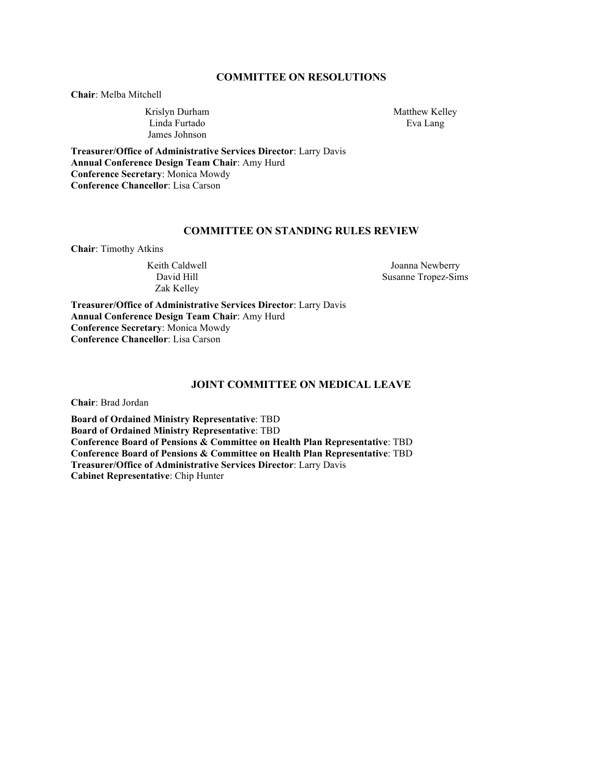## **COMMITTEE ON RESOLUTIONS**

**Chair**: Melba Mitchell

Krislyn Durham Linda Furtado James Johnson

Matthew Kelley Eva Lang

**Treasurer/Office of Administrative Services Director**: Larry Davis **Annual Conference Design Team Chair**: Amy Hurd **Conference Secretary**: Monica Mowdy **Conference Chancellor**: Lisa Carson

## **COMMITTEE ON STANDING RULES REVIEW**

**Chair**: Timothy Atkins

Keith Caldwell David Hill Zak Kelley

Joanna Newberry Susanne Tropez-Sims

**Treasurer/Office of Administrative Services Director**: Larry Davis **Annual Conference Design Team Chair**: Amy Hurd **Conference Secretary**: Monica Mowdy **Conference Chancellor**: Lisa Carson

#### **JOINT COMMITTEE ON MEDICAL LEAVE**

**Chair**: Brad Jordan

**Board of Ordained Ministry Representative**: TBD **Board of Ordained Ministry Representative**: TBD **Conference Board of Pensions & Committee on Health Plan Representative**: TBD **Conference Board of Pensions & Committee on Health Plan Representative**: TBD **Treasurer/Office of Administrative Services Director**: Larry Davis **Cabinet Representative**: Chip Hunter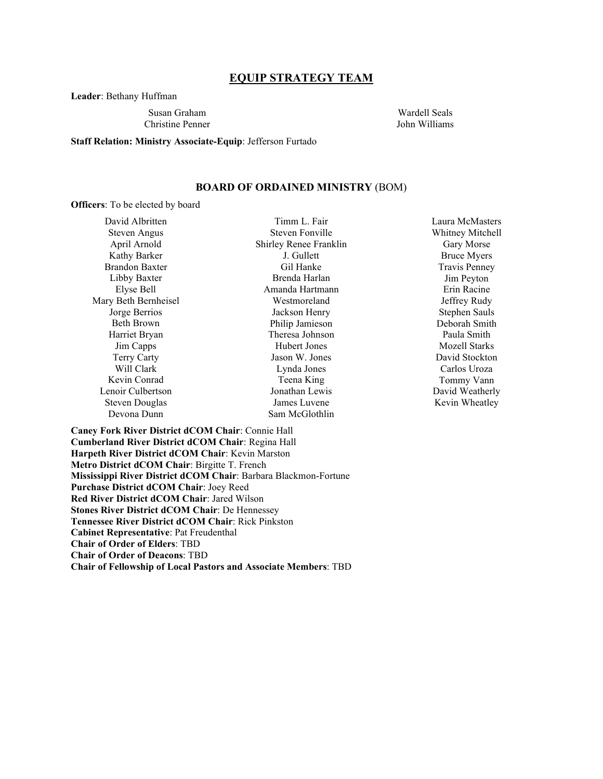## **EQUIP STRATEGY TEAM**

**Leader**: Bethany Huffman

Susan Graham Christine Penner

Wardell Seals John Williams

## **Staff Relation: Ministry Associate-Equip**: Jefferson Furtado

### **BOARD OF ORDAINED MINISTRY** (BOM)

**Officers**: To be elected by board

| David Albritten       |       |
|-----------------------|-------|
| Steven Angus          | S     |
| April Arnold          | Shirl |
| Kathy Barker          |       |
| <b>Brandon Baxter</b> |       |
| Libby Baxter          | F     |
| Elyse Bell            |       |
| Mary Beth Bernheisel  |       |
| Jorge Berrios         |       |
| Beth Brown            | P.    |
| Harriet Bryan         | Tl    |
| Jim Capps             |       |
| Terry Carty           | J     |
| Will Clark            |       |
| Kevin Conrad          |       |
| Lenoir Culbertson     | J     |
| Steven Douglas        |       |
| Devona Dunn           | Sε    |
|                       |       |

Timm L. Fair teven Fonville ey Renee Franklin J. Gullett Gil Hanke Brenda Harlan nanda Hartmann Westmoreland ackson Henry hilip Jamieson heresa Johnson Hubert Jones ason W. Jones Lynda Jones Teena King onathan Lewis ames Luvene am McGlothlin

Laura McMasters Whitney Mitchell Gary Morse Bruce Myers Travis Penney Jim Peyton Erin Racine Jeffrey Rudy Stephen Sauls Deborah Smith Paula Smith Mozell Starks David Stockton Carlos Uroza Tommy Vann David Weatherly Kevin Wheatley

**Caney Fork River District dCOM Chair**: Connie Hall **Cumberland River District dCOM Chair**: Regina Hall **Harpeth River District dCOM Chair**: Kevin Marston **Metro District dCOM Chair**: Birgitte T. French **Mississippi River District dCOM Chair**: Barbara Blackmon-Fortune **Purchase District dCOM Chair**: Joey Reed **Red River District dCOM Chair**: Jared Wilson **Stones River District dCOM Chair**: De Hennessey **Tennessee River District dCOM Chair**: Rick Pinkston **Cabinet Representative**: Pat Freudenthal **Chair of Order of Elders**: TBD **Chair of Order of Deacons**: TBD **Chair of Fellowship of Local Pastors and Associate Members**: TBD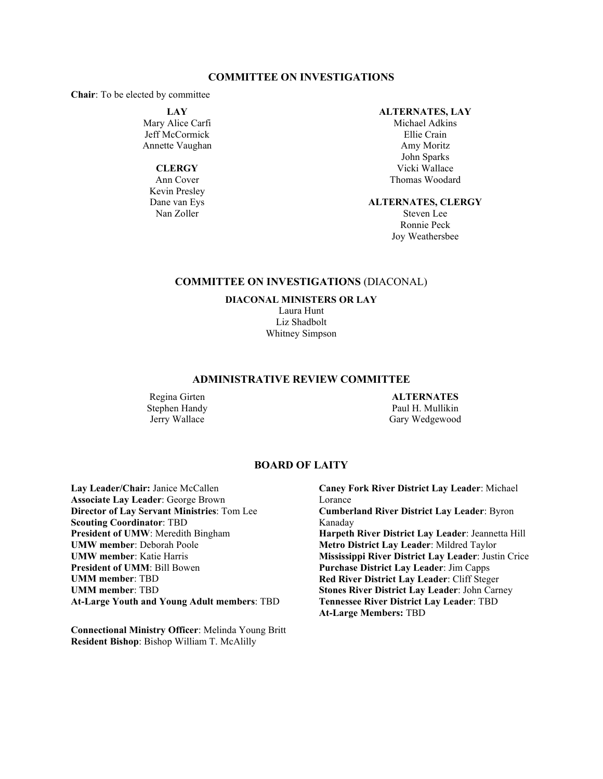#### **COMMITTEE ON INVESTIGATIONS**

**Chair**: To be elected by committee

**LAY**

Mary Alice Carfi Jeff McCormick Annette Vaughan

## **CLERGY**

Ann Cover Kevin Presley Dane van Eys Nan Zoller

#### **ALTERNATES, LAY**

Michael Adkins Ellie Crain Amy Moritz John Sparks Vicki Wallace Thomas Woodard

#### **ALTERNATES, CLERGY**

Steven Lee Ronnie Peck Joy Weathersbee

## **COMMITTEE ON INVESTIGATIONS** (DIACONAL)

**DIACONAL MINISTERS OR LAY**

Laura Hunt Liz Shadbolt Whitney Simpson

### **ADMINISTRATIVE REVIEW COMMITTEE**

Regina Girten Stephen Handy Jerry Wallace

### **ALTERNATES** Paul H. Mullikin Gary Wedgewood

### **BOARD OF LAITY**

Lay Leader/Chair: Janice McCallen **Associate Lay Leader**: George Brown **Director of Lay Servant Ministries**: Tom Lee **Scouting Coordinator**: TBD **President of UMW**: Meredith Bingham **UMW member**: Deborah Poole **UMW member**: Katie Harris **President of UMM**: Bill Bowen **UMM member**: TBD **UMM member**: TBD **At-Large Youth and Young Adult members**: TBD

**Connectional Ministry Officer**: Melinda Young Britt **Resident Bishop**: Bishop William T. McAlilly

**Caney Fork River District Lay Leader**: Michael Lorance **Cumberland River District Lay Leader**: Byron Kanaday **Harpeth River District Lay Leader**: Jeannetta Hill **Metro District Lay Leader**: Mildred Taylor **Mississippi River District Lay Leader**: Justin Crice **Purchase District Lay Leader**: Jim Capps **Red River District Lay Leader**: Cliff Steger **Stones River District Lay Leader**: John Carney **Tennessee River District Lay Leader**: TBD **At-Large Members:** TBD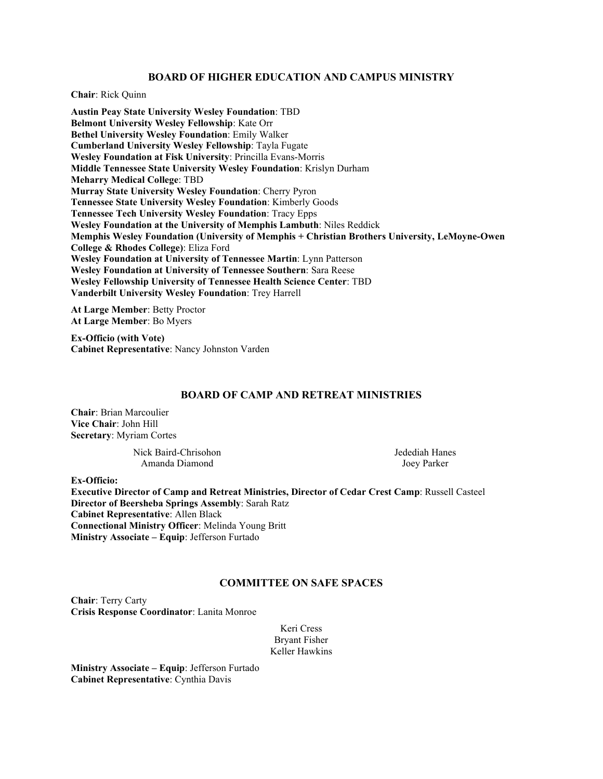## **BOARD OF HIGHER EDUCATION AND CAMPUS MINISTRY**

**Chair**: Rick Quinn

**Austin Peay State University Wesley Foundation**: TBD **Belmont University Wesley Fellowship**: Kate Orr **Bethel University Wesley Foundation**: Emily Walker **Cumberland University Wesley Fellowship**: Tayla Fugate **Wesley Foundation at Fisk University**: Princilla Evans-Morris **Middle Tennessee State University Wesley Foundation**: Krislyn Durham **Meharry Medical College**: TBD **Murray State University Wesley Foundation**: Cherry Pyron **Tennessee State University Wesley Foundation**: Kimberly Goods **Tennessee Tech University Wesley Foundation**: Tracy Epps **Wesley Foundation at the University of Memphis Lambuth**: Niles Reddick **Memphis Wesley Foundation (University of Memphis + Christian Brothers University, LeMoyne-Owen College & Rhodes College)**: Eliza Ford **Wesley Foundation at University of Tennessee Martin**: Lynn Patterson **Wesley Foundation at University of Tennessee Southern**: Sara Reese **Wesley Fellowship University of Tennessee Health Science Center**: TBD **Vanderbilt University Wesley Foundation**: Trey Harrell

**At Large Member**: Betty Proctor **At Large Member**: Bo Myers

**Ex-Officio (with Vote) Cabinet Representative**: Nancy Johnston Varden

## **BOARD OF CAMP AND RETREAT MINISTRIES**

**Chair**: Brian Marcoulier **Vice Chair**: John Hill **Secretary**: Myriam Cortes

> Nick Baird-Chrisohon Amanda Diamond

Jedediah Hanes Joey Parker

**Ex-Officio:**

**Executive Director of Camp and Retreat Ministries, Director of Cedar Crest Camp**: Russell Casteel **Director of Beersheba Springs Assembly**: Sarah Ratz **Cabinet Representative**: Allen Black **Connectional Ministry Officer**: Melinda Young Britt **Ministry Associate – Equip**: Jefferson Furtado

#### **COMMITTEE ON SAFE SPACES**

**Chair**: Terry Carty **Crisis Response Coordinator**: Lanita Monroe

> Keri Cress Bryant Fisher Keller Hawkins

**Ministry Associate – Equip**: Jefferson Furtado **Cabinet Representative**: Cynthia Davis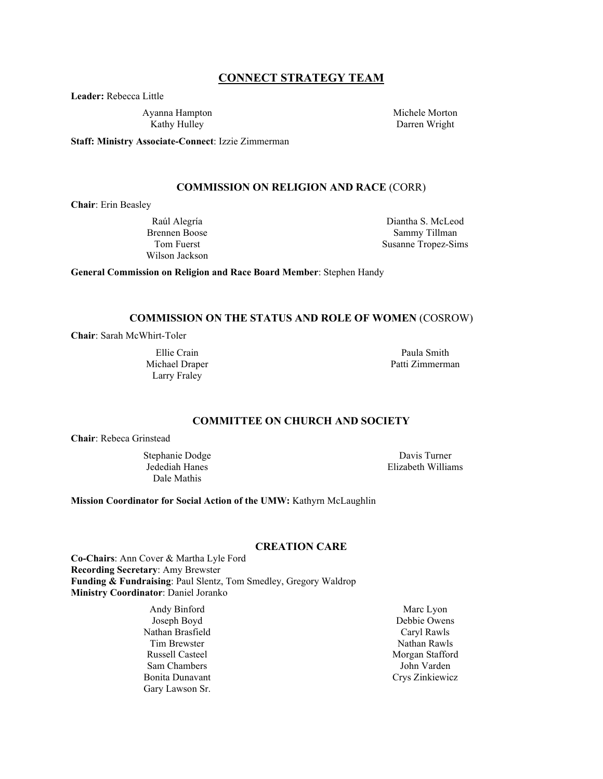## **CONNECT STRATEGY TEAM**

**Leader:** Rebecca Little

Ayanna Hampton Kathy Hulley

Michele Morton Darren Wright

**Staff: Ministry Associate-Connect**: Izzie Zimmerman

#### **COMMISSION ON RELIGION AND RACE** (CORR)

**Chair**: Erin Beasley

Raúl Alegría Brennen Boose Tom Fuerst Wilson Jackson

Diantha S. McLeod Sammy Tillman Susanne Tropez-Sims

**General Commission on Religion and Race Board Member**: Stephen Handy

#### **COMMISSION ON THE STATUS AND ROLE OF WOMEN** (COSROW)

**Chair**: Sarah McWhirt-Toler

Ellie Crain Michael Draper Larry Fraley

Paula Smith Patti Zimmerman

## **COMMITTEE ON CHURCH AND SOCIETY**

**Chair**: Rebeca Grinstead

Stephanie Dodge Jedediah Hanes Dale Mathis

Davis Turner Elizabeth Williams

**Mission Coordinator for Social Action of the UMW:** Kathyrn McLaughlin

## **CREATION CARE**

**Co-Chairs**: Ann Cover & Martha Lyle Ford **Recording Secretary**: Amy Brewster **Funding & Fundraising**: Paul Slentz, Tom Smedley, Gregory Waldrop **Ministry Coordinator**: Daniel Joranko

> Andy Binford Joseph Boyd Nathan Brasfield Tim Brewster Russell Casteel Sam Chambers Bonita Dunavant Gary Lawson Sr.

Marc Lyon Debbie Owens Caryl Rawls Nathan Rawls Morgan Stafford John Varden Crys Zinkiewicz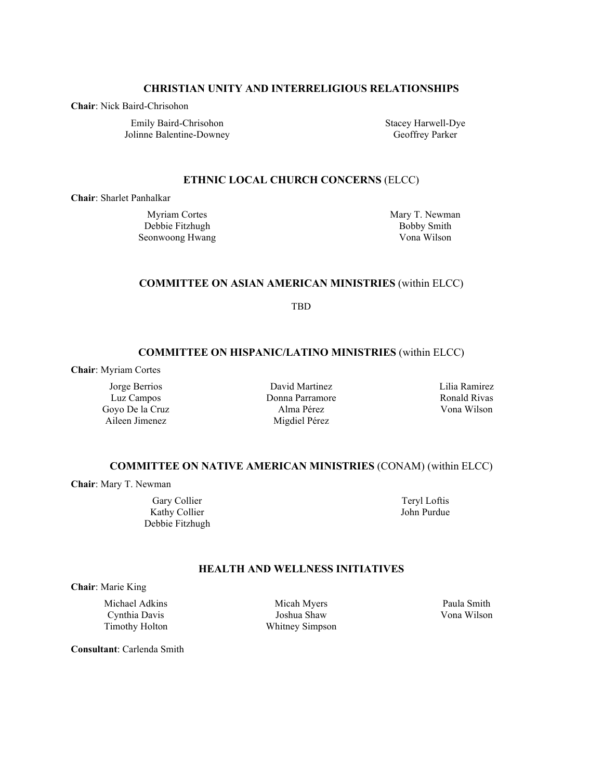## **CHRISTIAN UNITY AND INTERRELIGIOUS RELATIONSHIPS**

**Chair**: Nick Baird-Chrisohon

Emily Baird-Chrisohon Jolinne Balentine-Downey Stacey Harwell-Dye Geoffrey Parker

## **ETHNIC LOCAL CHURCH CONCERNS** (ELCC)

**Chair**: Sharlet Panhalkar

Myriam Cortes Debbie Fitzhugh Seonwoong Hwang Mary T. Newman Bobby Smith Vona Wilson

## **COMMITTEE ON ASIAN AMERICAN MINISTRIES** (within ELCC)

TBD

## **COMMITTEE ON HISPANIC/LATINO MINISTRIES** (within ELCC)

**Chair**: Myriam Cortes

Jorge Berrios Luz Campos Goyo De la Cruz Aileen Jimenez

David Martinez Donna Parramore Alma Pérez Migdiel Pérez

Lilia Ramirez Ronald Rivas Vona Wilson

## **COMMITTEE ON NATIVE AMERICAN MINISTRIES** (CONAM) (within ELCC)

**Chair**: Mary T. Newman

Gary Collier Kathy Collier Debbie Fitzhugh

Teryl Loftis John Purdue

## **HEALTH AND WELLNESS INITIATIVES**

**Chair**: Marie King

Michael Adkins Cynthia Davis Timothy Holton

Micah Myers Joshua Shaw Whitney Simpson

Paula Smith Vona Wilson

**Consultant**: Carlenda Smith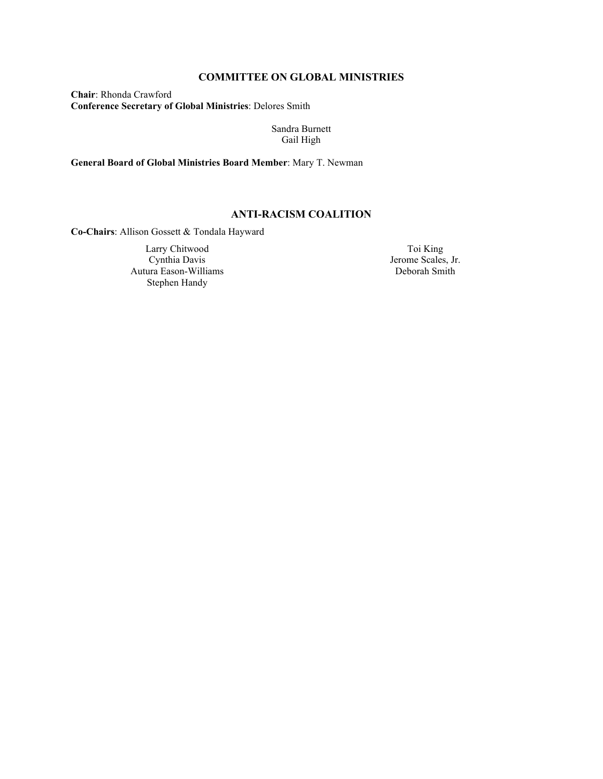## **COMMITTEE ON GLOBAL MINISTRIES**

**Chair**: Rhonda Crawford **Conference Secretary of Global Ministries**: Delores Smith

> Sandra Burnett Gail High

**General Board of Global Ministries Board Member**: Mary T. Newman

## **ANTI-RACISM COALITION**

**Co-Chairs**: Allison Gossett & Tondala Hayward

Larry Chitwood Cynthia Davis Autura Eason-Williams Stephen Handy

Toi King Jerome Scales, Jr. Deborah Smith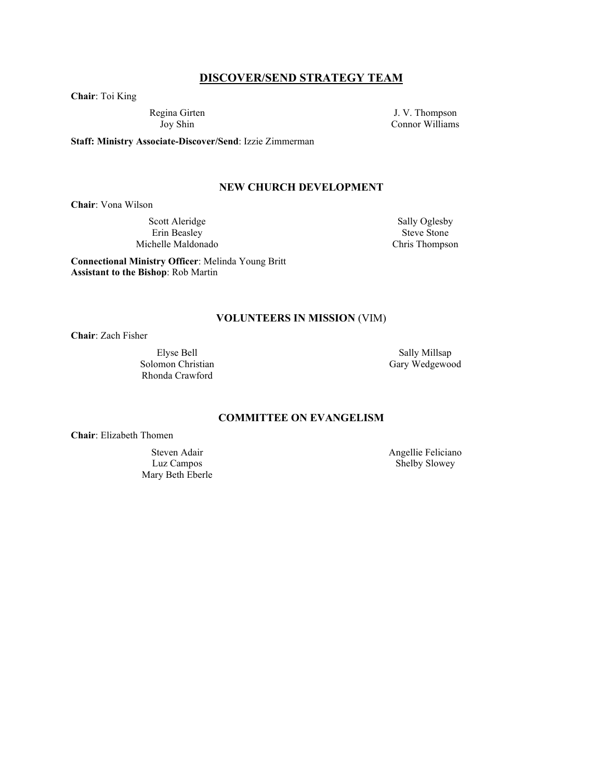## **DISCOVER/SEND STRATEGY TEAM**

**Chair**: Toi King

Regina Girten Joy Shin

J. V. Thompson Connor Williams

**Staff: Ministry Associate-Discover/Send**: Izzie Zimmerman

## **NEW CHURCH DEVELOPMENT**

**Chair**: Vona Wilson

Scott Aleridge Erin Beasley Michelle Maldonado

Sally Oglesby Steve Stone Chris Thompson

**Connectional Ministry Officer**: Melinda Young Britt **Assistant to the Bishop**: Rob Martin

#### **VOLUNTEERS IN MISSION** (VIM)

**Chair**: Zach Fisher

Elyse Bell Solomon Christian Rhonda Crawford

Sally Millsap Gary Wedgewood

## **COMMITTEE ON EVANGELISM**

**Chair**: Elizabeth Thomen

Steven Adair Luz Campos Mary Beth Eberle Angellie Feliciano Shelby Slowey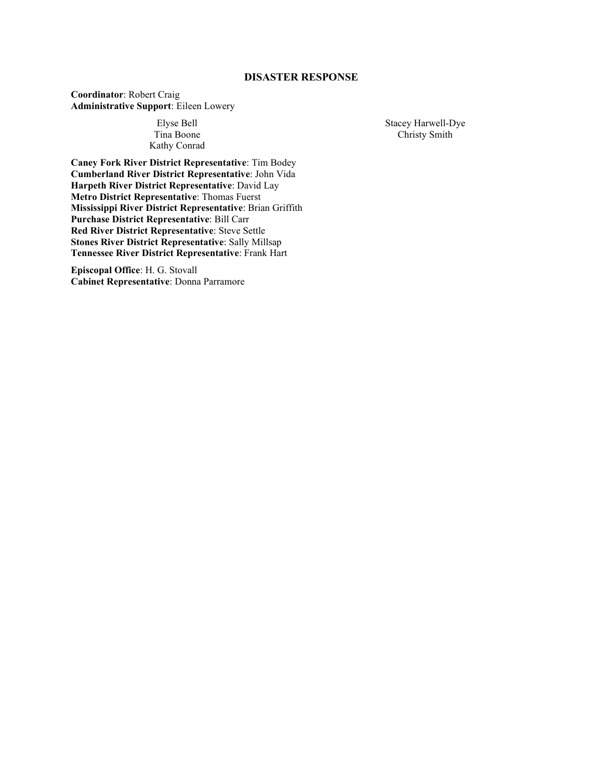## **DISASTER RESPONSE**

**Coordinator**: Robert Craig **Administrative Support**: Eileen Lowery

### Elyse Bell Tina Boone Kathy Conrad

**Caney Fork River District Representative**: Tim Bodey **Cumberland River District Representative**: John Vida **Harpeth River District Representative**: David Lay **Metro District Representative**: Thomas Fuerst **Mississippi River District Representative**: Brian Griffith **Purchase District Representative**: Bill Carr **Red River District Representative**: Steve Settle **Stones River District Representative**: Sally Millsap **Tennessee River District Representative**: Frank Hart

**Episcopal Office**: H. G. Stovall **Cabinet Representative**: Donna Parramore Stacey Harwell-Dye Christy Smith